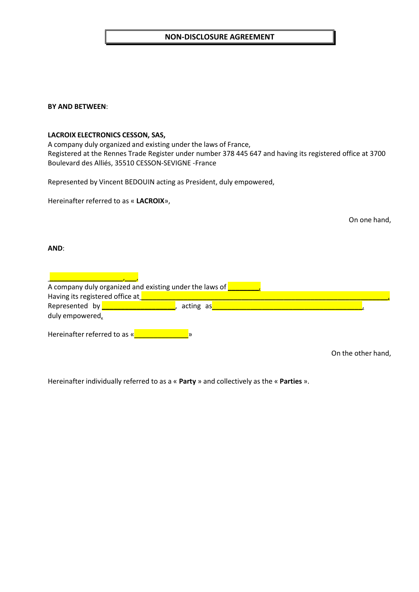# **NON-DISCLOSURE AGREEMENT**

### **BY AND BETWEEN**:

### **LACROIX ELECTRONICS CESSON, SAS,**

A company duly organized and existing under the laws of France, Registered at the Rennes Trade Register under number 378 445 647 and having its registered office at 3700 Boulevard des Alliés, 35510 CESSON-SEVIGNE -France

Represented by Vincent BEDOUIN acting as President, duly empowered,

Hereinafter referred to as « **LACROIX**»,

On one hand,

**AND**:

| A company duly organized and existing under the laws of |  |           |  |  |  |  |  |  |  |
|---------------------------------------------------------|--|-----------|--|--|--|--|--|--|--|
| Having its registered office at                         |  |           |  |  |  |  |  |  |  |
| Represented by                                          |  | acting as |  |  |  |  |  |  |  |
| duly empowered,                                         |  |           |  |  |  |  |  |  |  |
| Hereinafter referred to as «                            |  |           |  |  |  |  |  |  |  |

On the other hand,

Hereinafter individually referred to as a « **Party** » and collectively as the « **Parties** ».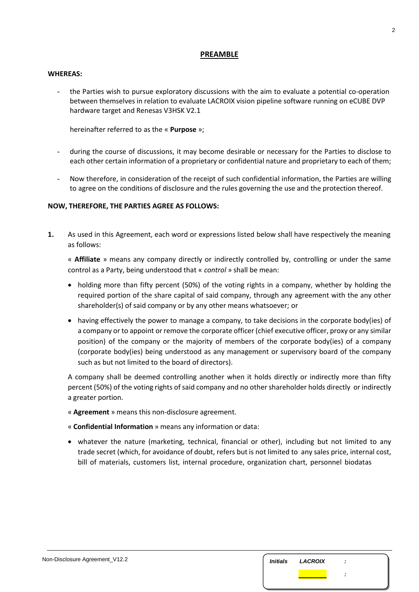## **PREAMBLE**

#### **WHEREAS:**

the Parties wish to pursue exploratory discussions with the aim to evaluate a potential co-operation between themselves in relation to evaluate LACROIX vision pipeline software running on eCUBE DVP hardware target and Renesas V3HSK V2.1

hereinafter referred to as the « **Purpose** »;

- during the course of discussions, it may become desirable or necessary for the Parties to disclose to each other certain information of a proprietary or confidential nature and proprietary to each of them;
- Now therefore, in consideration of the receipt of such confidential information, the Parties are willing to agree on the conditions of disclosure and the rules governing the use and the protection thereof.

## **NOW, THEREFORE, THE PARTIES AGREE AS FOLLOWS:**

**1.** As used in this Agreement, each word or expressions listed below shall have respectively the meaning as follows:

« **Affiliate** » means any company directly or indirectly controlled by, controlling or under the same control as a Party, being understood that « *control* » shall be mean:

- holding more than fifty percent (50%) of the voting rights in a company, whether by holding the required portion of the share capital of said company, through any agreement with the any other shareholder(s) of said company or by any other means whatsoever; or
- having effectively the power to manage a company, to take decisions in the corporate body(ies) of a company or to appoint or remove the corporate officer (chief executive officer, proxy or any similar position) of the company or the majority of members of the corporate body(ies) of a company (corporate body(ies) being understood as any management or supervisory board of the company such as but not limited to the board of directors).

A company shall be deemed controlling another when it holds directly or indirectly more than fifty percent (50%) of the voting rights of said company and no other shareholder holds directly or indirectly a greater portion.

- « **Agreement** » means this non-disclosure agreement.
- « **Confidential Information** » means any information or data:
- whatever the nature (marketing, technical, financial or other), including but not limited to any trade secret (which, for avoidance of doubt, refers but is not limited to any sales price, internal cost, bill of materials, customers list, internal procedure, organization chart, personnel biodatas

| Non-Disclosure Agreement_V12.2 | <i><b>Initials</b></i> | <b>LACROIX</b> | п. |  |
|--------------------------------|------------------------|----------------|----|--|
|                                |                        |                |    |  |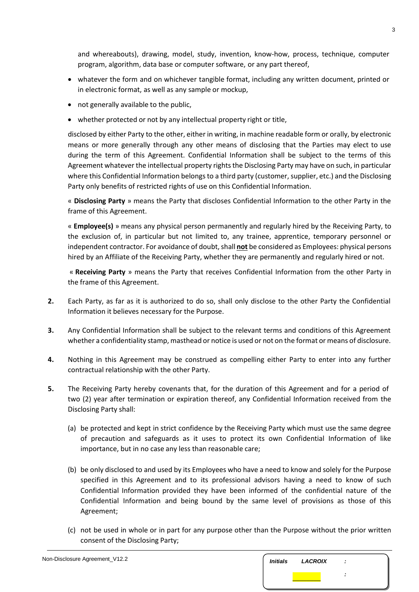and whereabouts), drawing, model, study, invention, know-how, process, technique, computer program, algorithm, data base or computer software, or any part thereof,

- whatever the form and on whichever tangible format, including any written document, printed or in electronic format, as well as any sample or mockup,
- not generally available to the public,
- whether protected or not by any intellectual property right or title,

disclosed by either Party to the other, either in writing, in machine readable form or orally, by electronic means or more generally through any other means of disclosing that the Parties may elect to use during the term of this Agreement. Confidential Information shall be subject to the terms of this Agreement whatever the intellectual property rights the Disclosing Party may have on such, in particular where this Confidential Information belongs to a third party (customer, supplier, etc.) and the Disclosing Party only benefits of restricted rights of use on this Confidential Information.

« **Disclosing Party** » means the Party that discloses Confidential Information to the other Party in the frame of this Agreement.

« **Employee(s)** » means any physical person permanently and regularly hired by the Receiving Party, to the exclusion of, in particular but not limited to, any trainee, apprentice, temporary personnel or independent contractor. For avoidance of doubt, shall **not** be considered as Employees: physical persons hired by an Affiliate of the Receiving Party, whether they are permanently and regularly hired or not.

« **Receiving Party** » means the Party that receives Confidential Information from the other Party in the frame of this Agreement.

- **2.** Each Party, as far as it is authorized to do so, shall only disclose to the other Party the Confidential Information it believes necessary for the Purpose.
- **3.** Any Confidential Information shall be subject to the relevant terms and conditions of this Agreement whether a confidentiality stamp, masthead or notice is used or not on the format or means of disclosure.
- **4.** Nothing in this Agreement may be construed as compelling either Party to enter into any further contractual relationship with the other Party.
- <span id="page-2-0"></span>**5.** The Receiving Party hereby covenants that, for the duration of this Agreement and for a period of two (2) year after termination or expiration thereof, any Confidential Information received from the Disclosing Party shall:
	- (a) be protected and kept in strict confidence by the Receiving Party which must use the same degree of precaution and safeguards as it uses to protect its own Confidential Information of like importance, but in no case any less than reasonable care;
	- (b) be only disclosed to and used by its Employees who have a need to know and solely for the Purpose specified in this Agreement and to its professional advisors having a need to know of such Confidential Information provided they have been informed of the confidential nature of the Confidential Information and being bound by the same level of provisions as those of this Agreement;
	- (c) not be used in whole or in part for any purpose other than the Purpose without the prior written consent of the Disclosing Party;

| Non-Disclosure Agreement_V12.2 | <i><b>Initials</b></i> | <b>LACROIX</b> | - 1 |  |
|--------------------------------|------------------------|----------------|-----|--|
|                                |                        |                |     |  |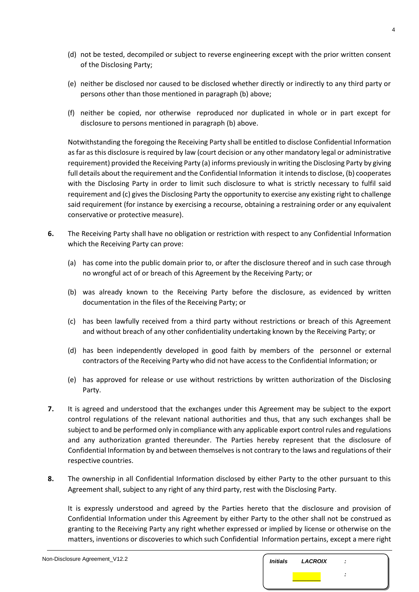- (d) not be tested, decompiled or subject to reverse engineering except with the prior written consent of the Disclosing Party;
- (e) neither be disclosed nor caused to be disclosed whether directly or indirectly to any third party or persons other than those mentioned in paragraph [\(b\) a](#page-2-0)bove;
- (f) neither be copied, nor otherwise reproduced nor duplicated in whole or in part except for disclosure to persons mentioned in paragraph [\(b\) a](#page-2-0)bove.

Notwithstanding the foregoing the Receiving Party shall be entitled to disclose Confidential Information as far as this disclosure is required by law (court decision or any other mandatory legal or administrative requirement) provided the Receiving Party (a) informs previously in writing the Disclosing Party by giving full details about the requirement and the Confidential Information it intends to disclose, (b) cooperates with the Disclosing Party in order to limit such disclosure to what is strictly necessary to fulfil said requirement and (c) gives the Disclosing Party the opportunity to exercise any existing right to challenge said requirement (for instance by exercising a recourse, obtaining a restraining order or any equivalent conservative or protective measure).

- **6.** The Receiving Party shall have no obligation or restriction with respect to any Confidential Information which the Receiving Party can prove:
	- (a) has come into the public domain prior to, or after the disclosure thereof and in such case through no wrongful act of or breach of this Agreement by the Receiving Party; or
	- (b) was already known to the Receiving Party before the disclosure, as evidenced by written documentation in the files of the Receiving Party; or
	- (c) has been lawfully received from a third party without restrictions or breach of this Agreement and without breach of any other confidentiality undertaking known by the Receiving Party; or
	- (d) has been independently developed in good faith by members of the personnel or external contractors of the Receiving Party who did not have access to the Confidential Information; or
	- (e) has approved for release or use without restrictions by written authorization of the Disclosing Party.
- **7.** It is agreed and understood that the exchanges under this Agreement may be subject to the export control regulations of the relevant national authorities and thus, that any such exchanges shall be subject to and be performed only in compliance with any applicable export control rules and regulations and any authorization granted thereunder. The Parties hereby represent that the disclosure of Confidential Information by and between themselves is not contrary to the laws and regulations of their respective countries.
- <span id="page-3-0"></span>**8.** The ownership in all Confidential Information disclosed by either Party to the other pursuant to this Agreement shall, subject to any right of any third party, rest with the Disclosing Party.

It is expressly understood and agreed by the Parties hereto that the disclosure and provision of Confidential Information under this Agreement by either Party to the other shall not be construed as granting to the Receiving Party any right whether expressed or implied by license or otherwise on the matters, inventions or discoveries to which such Confidential Information pertains, except a mere right

| Non-Disclosure Agreement_V12.2 | <i><b>Initials</b></i> | <b>LACROIX</b> | $\cdot$ |  |
|--------------------------------|------------------------|----------------|---------|--|
|                                |                        |                |         |  |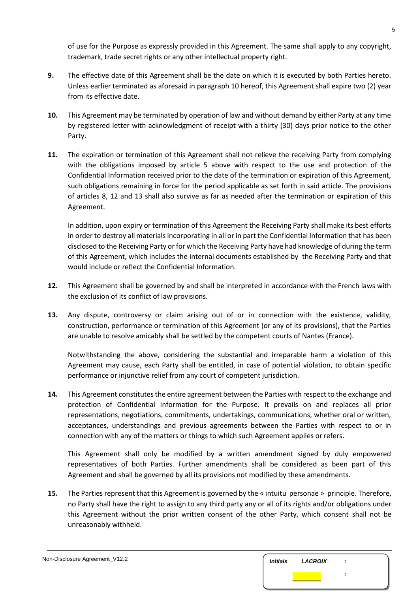of use for the Purpose as expressly provided in this Agreement. The same shall apply to any copyright, trademark, trade secret rights or any other intellectual property right.

- **9.** The effective date of this Agreement shall be the date on which it is executed by both Parties hereto. Unless earlier terminated as aforesaid in paragraph [10 h](#page-4-0)ereof, this Agreement shall expire two (2) year from its effective date.
- <span id="page-4-0"></span>**10.** This Agreement may be terminated by operation of law and without demand by either Party at any time by registered letter with acknowledgment of receipt with a thirty (30) days prior notice to the other Party.
- **11.** The expiration or termination of this Agreement shall not relieve the receiving Party from complying with the obligations imposed by article 5 above with respect to the use and protection of the Confidential Information received prior to the date of the termination or expiration of this Agreement, such obligations remaining in force for the period applicable as set forth in said article. The provisions of articles [8,](#page-3-0) [12 a](#page-4-1)nd [13 s](#page-4-2)hall also survive as far as needed after the termination or expiration of this Agreement.

In addition, upon expiry or termination of this Agreement the Receiving Party shall make its best efforts in order to destroy all materials incorporating in all or in part the Confidential Information that has been disclosed to the Receiving Party or for which the Receiving Party have had knowledge of during the term of this Agreement, which includes the internal documents established by the Receiving Party and that would include or reflect the Confidential Information.

- <span id="page-4-1"></span>**12.** This Agreement shall be governed by and shall be interpreted in accordance with the French laws with the exclusion of its conflict of law provisions.
- <span id="page-4-2"></span>**13.** Any dispute, controversy or claim arising out of or in connection with the existence, validity, construction, performance or termination of this Agreement (or any of its provisions), that the Parties are unable to resolve amicably shall be settled by the competent courts of Nantes (France).

Notwithstanding the above, considering the substantial and irreparable harm a violation of this Agreement may cause, each Party shall be entitled, in case of potential violation, to obtain specific performance or injunctive relief from any court of competent jurisdiction.

**14.** This Agreement constitutes the entire agreement between the Parties with respect to the exchange and protection of Confidential Information for the Purpose. It prevails on and replaces all prior representations, negotiations, commitments, undertakings, communications, whether oral or written, acceptances, understandings and previous agreements between the Parties with respect to or in connection with any of the matters or things to which such Agreement applies or refers.

This Agreement shall only be modified by a written amendment signed by duly empowered representatives of both Parties. Further amendments shall be considered as been part of this Agreement and shall be governed by all its provisions not modified by these amendments.

**15.** The Parties represent that this Agreement is governed by the « intuitu personae » principle. Therefore, no Party shall have the right to assign to any third party any or all of its rights and/or obligations under this Agreement without the prior written consent of the other Party, which consent shall not be unreasonably withheld.

| Non-Disclosure Agreement_V12.2 | <i><b>Initials</b></i> | <b>LACROIX</b> | ÷ |
|--------------------------------|------------------------|----------------|---|
|                                |                        |                |   |